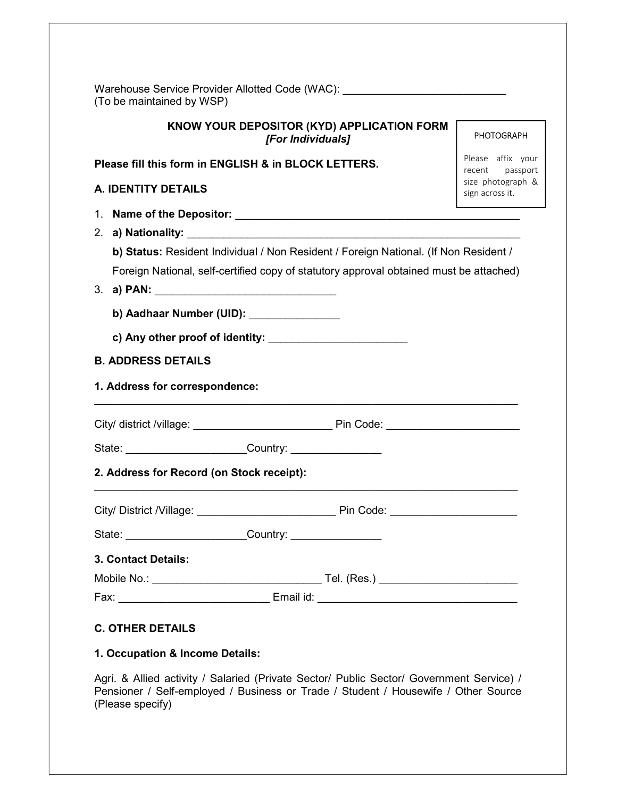| KNOW YOUR DEPOSITOR (KYD) APPLICATION FORM                                             | <b>PHOTOGRAPH</b>                    |
|----------------------------------------------------------------------------------------|--------------------------------------|
| [For Individuals]<br>Please fill this form in ENGLISH & in BLOCK LETTERS.              | Please affix your                    |
|                                                                                        | recent passport<br>size photograph & |
| <b>A. IDENTITY DETAILS</b>                                                             | sign across it.                      |
|                                                                                        |                                      |
|                                                                                        |                                      |
| b) Status: Resident Individual / Non Resident / Foreign National. (If Non Resident /   |                                      |
| Foreign National, self-certified copy of statutory approval obtained must be attached) |                                      |
|                                                                                        |                                      |
| b) Aadhaar Number (UID): \\eft(\) \\) \\) Aadhaar Number (UID):                        |                                      |
|                                                                                        |                                      |
| <b>B. ADDRESS DETAILS</b>                                                              |                                      |
| 1. Address for correspondence:                                                         |                                      |
|                                                                                        |                                      |
|                                                                                        |                                      |
| 2. Address for Record (on Stock receipt):                                              |                                      |
|                                                                                        |                                      |
| State: _______________________________Country: _________________________________       |                                      |
|                                                                                        |                                      |
| 3. Contact Details:                                                                    |                                      |
|                                                                                        |                                      |

Agri. & Allied activity / Salaried (Private Sector/ Public Sector/ Government Service) / Pensioner / Self-employed / Business or Trade / Student / Housewife / Other Source (Please specify)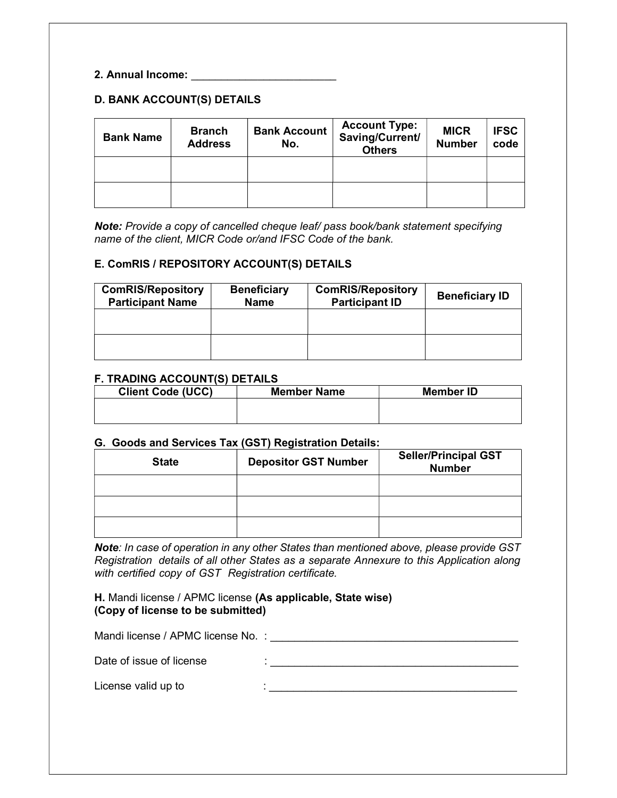### 2. Annual Income: \_\_\_\_\_\_\_\_\_\_\_\_\_\_\_\_\_\_\_\_\_\_\_\_

# D. BANK ACCOUNT(S) DETAILS

| <b>Bank Name</b> | <b>Branch</b><br><b>Address</b> | <b>Bank Account</b><br>No. | <b>Account Type:</b><br>Saving/Current/<br><b>Others</b> | <b>MICR</b><br><b>Number</b> | <b>IFSC</b><br>code |
|------------------|---------------------------------|----------------------------|----------------------------------------------------------|------------------------------|---------------------|
|                  |                                 |                            |                                                          |                              |                     |
|                  |                                 |                            |                                                          |                              |                     |

Note: Provide a copy of cancelled cheque leaf/ pass book/bank statement specifying name of the client, MICR Code or/and IFSC Code of the bank.

#### E. ComRIS / REPOSITORY ACCOUNT(S) DETAILS

| <b>ComRIS/Repository</b><br><b>Participant Name</b> | <b>Beneficiary</b><br><b>Name</b> | <b>ComRIS/Repository</b><br><b>Participant ID</b> | <b>Beneficiary ID</b> |
|-----------------------------------------------------|-----------------------------------|---------------------------------------------------|-----------------------|
|                                                     |                                   |                                                   |                       |
|                                                     |                                   |                                                   |                       |

#### F. TRADING ACCOUNT(S) DETAILS

| <b>Client Code (UCC)</b> | <b>Member Name</b> | <b>Member ID</b> |
|--------------------------|--------------------|------------------|
|                          |                    |                  |
|                          |                    |                  |

#### G. Goods and Services Tax (GST) Registration Details:

| <b>State</b> | <b>Depositor GST Number</b> | <b>Seller/Principal GST</b><br><b>Number</b> |
|--------------|-----------------------------|----------------------------------------------|
|              |                             |                                              |
|              |                             |                                              |
|              |                             |                                              |

Note: In case of operation in any other States than mentioned above, please provide GST Registration details of all other States as a separate Annexure to this Application along with certified copy of GST Registration certificate.

H. Mandi license / APMC license (As applicable, State wise) (Copy of license to be submitted)

| Mandi license / APMC license No.: |  |
|-----------------------------------|--|
| Date of issue of license          |  |
| License valid up to               |  |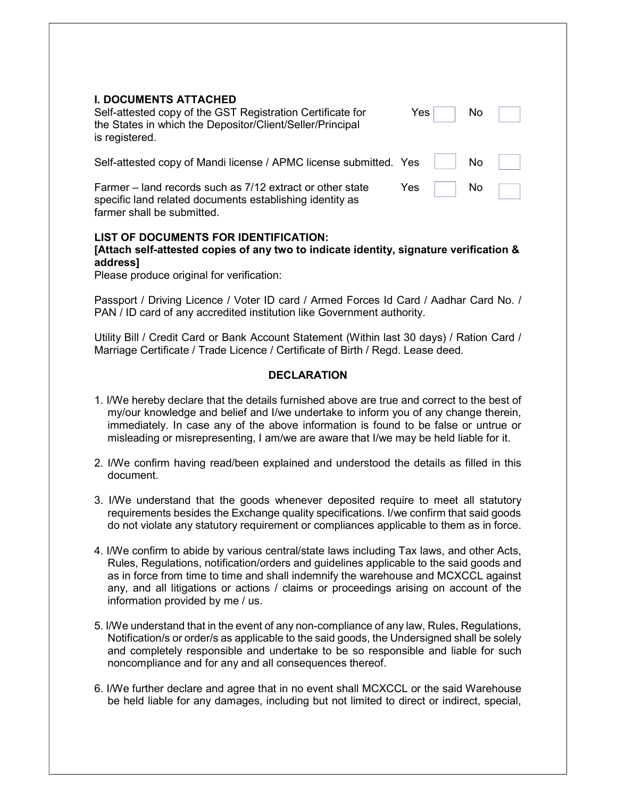| <b>I. DOCUMENTS ATTACHED</b><br>Self-attested copy of the GST Registration Certificate for<br>the States in which the Depositor/Client/Seller/Principal<br>is registered. | Yes | No. |  |
|---------------------------------------------------------------------------------------------------------------------------------------------------------------------------|-----|-----|--|
| Self-attested copy of Mandi license / APMC license submitted. Yes                                                                                                         |     | No  |  |
| Farmer – land records such as 7/12 extract or other state<br>specific land related documents establishing identity as                                                     | Yes | No  |  |

# LIST OF DOCUMENTS FOR IDENTIFICATION:

# [Attach self-attested copies of any two to indicate identity, signature verification & address]

Please produce original for verification:

farmer shall be submitted.

Passport / Driving Licence / Voter ID card / Armed Forces Id Card / Aadhar Card No. / PAN / ID card of any accredited institution like Government authority.

Utility Bill / Credit Card or Bank Account Statement (Within last 30 days) / Ration Card / Marriage Certificate / Trade Licence / Certificate of Birth / Regd. Lease deed.

### **DECLARATION**

- 1. I/We hereby declare that the details furnished above are true and correct to the best of my/our knowledge and belief and I/we undertake to inform you of any change therein, immediately. In case any of the above information is found to be false or untrue or misleading or misrepresenting, I am/we are aware that I/we may be held liable for it.
- 2. I/We confirm having read/been explained and understood the details as filled in this document.
- 3. I/We understand that the goods whenever deposited require to meet all statutory requirements besides the Exchange quality specifications. I/we confirm that said goods do not violate any statutory requirement or compliances applicable to them as in force.
- 4. I/We confirm to abide by various central/state laws including Tax laws, and other Acts, Rules, Regulations, notification/orders and guidelines applicable to the said goods and as in force from time to time and shall indemnify the warehouse and MCXCCL against any, and all litigations or actions / claims or proceedings arising on account of the information provided by me / us.
- 5. I/We understand that in the event of any non-compliance of any law, Rules, Regulations, Notification/s or order/s as applicable to the said goods, the Undersigned shall be solely and completely responsible and undertake to be so responsible and liable for such noncompliance and for any and all consequences thereof.
- 6. I/We further declare and agree that in no event shall MCXCCL or the said Warehouse be held liable for any damages, including but not limited to direct or indirect, special,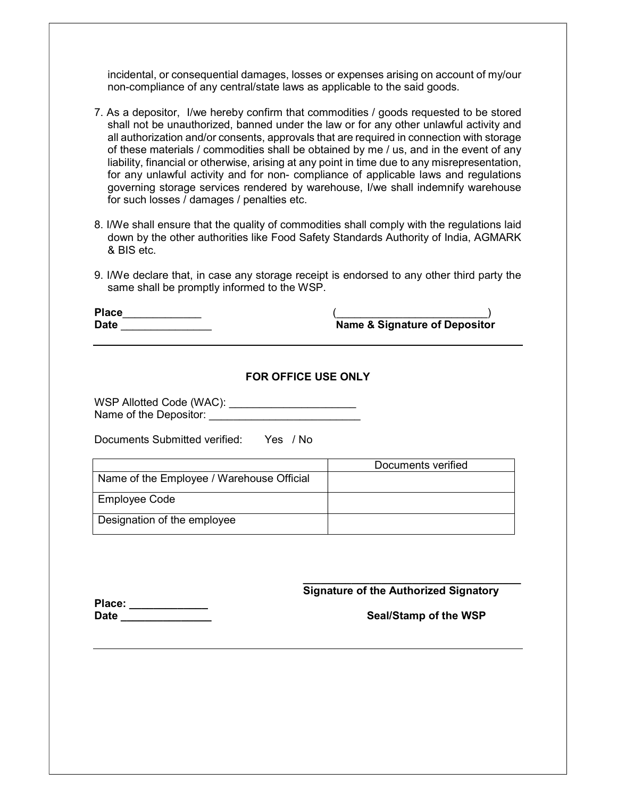incidental, or consequential damages, losses or expenses arising on account of my/our non-compliance of any central/state laws as applicable to the said goods.

- 7. As a depositor, I/we hereby confirm that commodities / goods requested to be stored shall not be unauthorized, banned under the law or for any other unlawful activity and all authorization and/or consents, approvals that are required in connection with storage of these materials / commodities shall be obtained by me / us, and in the event of any liability, financial or otherwise, arising at any point in time due to any misrepresentation, for any unlawful activity and for non- compliance of applicable laws and regulations governing storage services rendered by warehouse, I/we shall indemnify warehouse for such losses / damages / penalties etc.
- 8. I/We shall ensure that the quality of commodities shall comply with the regulations laid down by the other authorities like Food Safety Standards Authority of India, AGMARK & BIS etc.
- 9. I/We declare that, in case any storage receipt is endorsed to any other third party the same shall be promptly informed to the WSP.

| <b>Place</b> |                                          |
|--------------|------------------------------------------|
| <b>Date</b>  | <b>Name &amp; Signature of Depositor</b> |

| <b>FOR OFFICE USE ONLY</b> |
|----------------------------|
|----------------------------|

| WSP Allotted Code (WAC): |  |
|--------------------------|--|
| Name of the Depositor:   |  |

Documents Submitted verified: Yes / No

|                                           | Documents verified |
|-------------------------------------------|--------------------|
| Name of the Employee / Warehouse Official |                    |
| Employee Code                             |                    |
| Designation of the employee               |                    |

Signature of the Authorized Signatory

 $\_$ 

| Place:      |  |  |  |
|-------------|--|--|--|
| <b>Date</b> |  |  |  |

### Seal/Stamp of the WSP